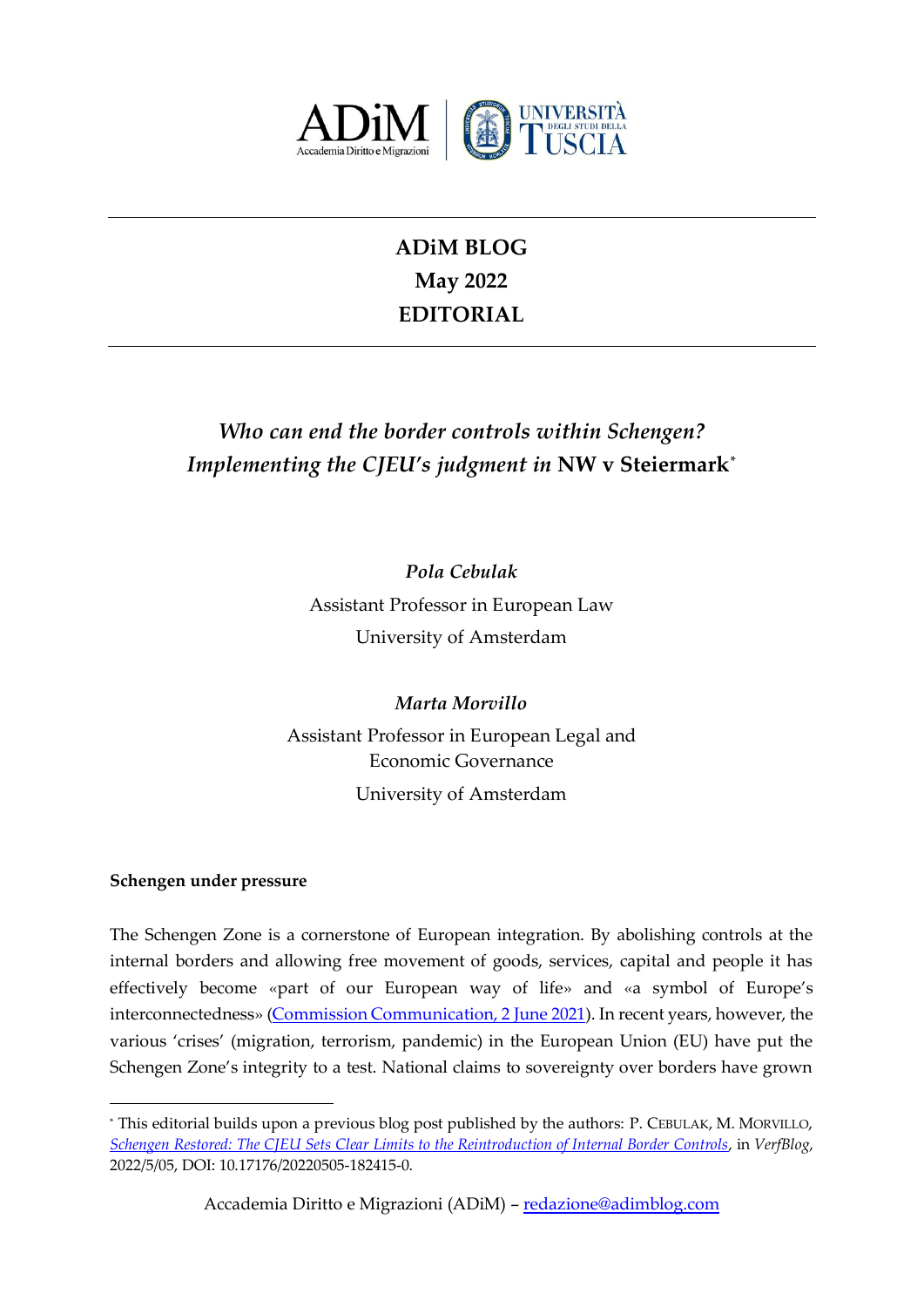

# **ADiM BLOG May 2022 EDITORIAL**

# *Who can end the border controls within Schengen? Implementing the CJEU's judgment in* **NW v Steiermark***\**

*Pola Cebulak* Assistant Professor in European Law University of Amsterdam

*Marta Morvillo* Assistant Professor in European Legal and Economic Governance University of Amsterdam

# **Schengen under pressure**

-

The Schengen Zone is a cornerstone of European integration. By abolishing controls at the internal borders and allowing free movement of goods, services, capital and people it has effectively become «part of our European way of life» and «a symbol of Europe's interconnectedness» [\(Commission Communication, 2 June 2021\)](https://ec.europa.eu/home-affairs/sites/default/files/pdf/02062021_strategy_towards_fully_functioning_and_resilient_schengen_area_com-2021-277_en.pdf). In recent years, however, the various 'crises' (migration, terrorism, pandemic) in the European Union (EU) have put the Schengen Zone's integrity to a test. National claims to sovereignty over borders have grown

<sup>\*</sup> This editorial builds upon a previous blog post published by the authors: P. CEBULAK, M. MORVILLO, *[Schengen Restored: The CJEU Sets Clear Limits to the Reintroduction of Internal Border Controls](https://verfassungsblog.de/schengen-restored/)*, in *VerfBlog*, 2022/5/05, DOI: 10.17176/20220505-182415-0.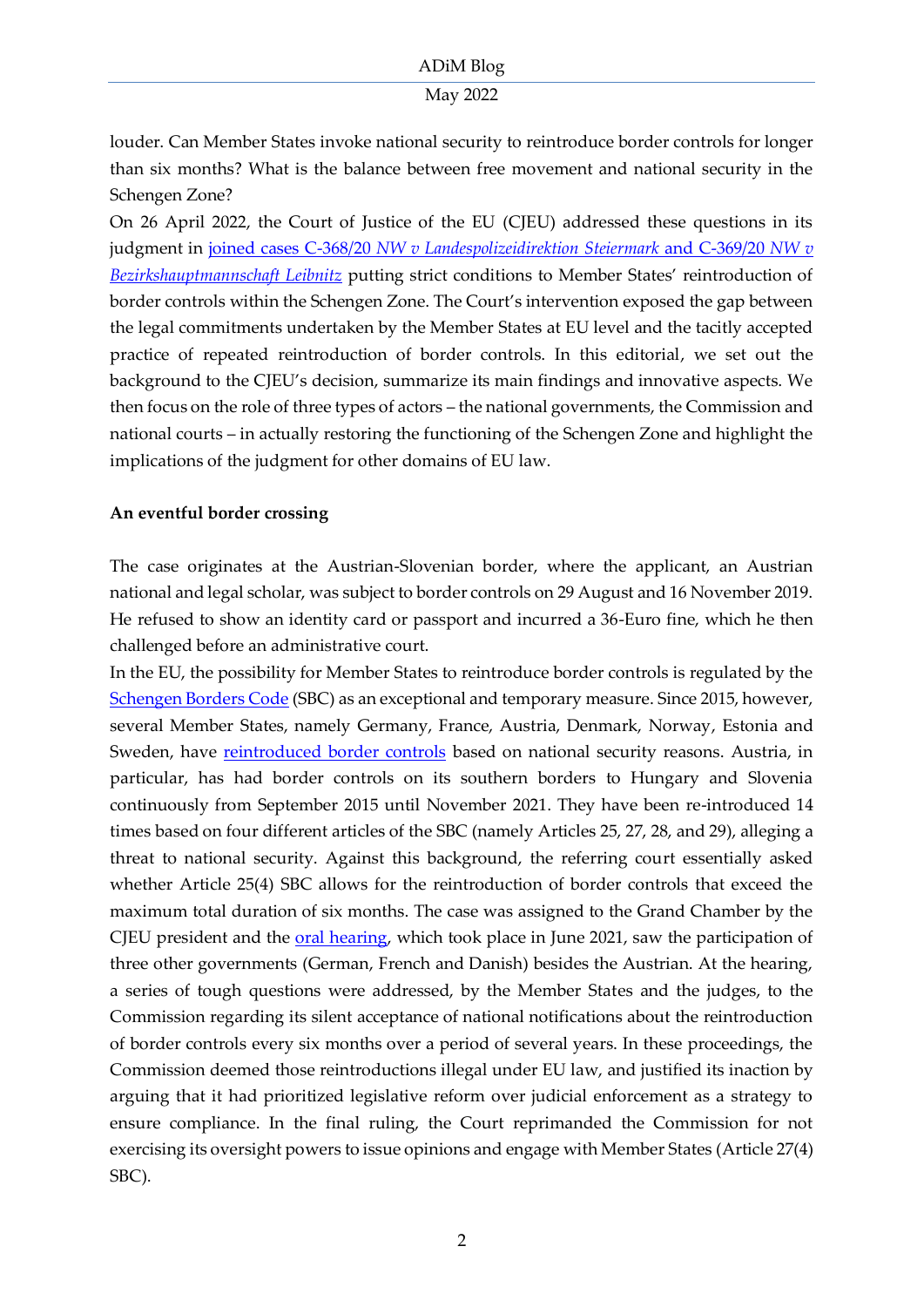# May 2022

louder. Can Member States invoke national security to reintroduce border controls for longer than six months? What is the balance between free movement and national security in the Schengen Zone?

On 26 April 2022, the Court of Justice of the EU (CJEU) addressed these questions in its judgment in joined cases C-368/20 *[NW v Landespolizeidirektion Steiermark](https://curia.europa.eu/juris/document/document.jsf?text=&docid=258262&pageIndex=0&doclang=EN&mode=lst&dir=&occ=first&part=1&cid=450324)* and C-369/20 *NW v [Bezirkshauptmannschaft Leibnitz](https://curia.europa.eu/juris/document/document.jsf?text=&docid=258262&pageIndex=0&doclang=EN&mode=lst&dir=&occ=first&part=1&cid=450324)* putting strict conditions to Member States' reintroduction of border controls within the Schengen Zone. The Court's intervention exposed the gap between the legal commitments undertaken by the Member States at EU level and the tacitly accepted practice of repeated reintroduction of border controls. In this editorial, we set out the background to the CJEU's decision, summarize its main findings and innovative aspects. We then focus on the role of three types of actors – the national governments, the Commission and national courts – in actually restoring the functioning of the Schengen Zone and highlight the implications of the judgment for other domains of EU law.

# **An eventful border crossing**

The case originates at the Austrian-Slovenian border, where the applicant, an Austrian national and legal scholar, was subject to border controls on 29 August and 16 November 2019. He refused to show an identity card or passport and incurred a 36-Euro fine, which he then challenged before an administrative court.

In the EU, the possibility for Member States to reintroduce border controls is regulated by the [Schengen Borders Code](https://eur-lex.europa.eu/legal-content/EN/TXT/?uri=OJ:L:2016:077:TOC) (SBC) as an exceptional and temporary measure. Since 2015, however, several Member States, namely Germany, France, Austria, Denmark, Norway, Estonia and Sweden, have [reintroduced border controls](https://ec.europa.eu/home-affairs/system/files/2022-05/Full%20list%20of%20notifications-03052022_en.pdf) based on national security reasons. Austria, in particular, has had border controls on its southern borders to Hungary and Slovenia continuously from September 2015 until November 2021. They have been re-introduced 14 times based on four different articles of the SBC (namely Articles 25, 27, 28, and 29), alleging a threat to national security. Against this background, the referring court essentially asked whether Article 25(4) SBC allows for the reintroduction of border controls that exceed the maximum total duration of six months. The case was assigned to the Grand Chamber by the CJEU president and the [oral hearing,](https://verfassungsblog.de/the-guardian-is-absent/) which took place in June 2021, saw the participation of three other governments (German, French and Danish) besides the Austrian. At the hearing, a series of tough questions were addressed, by the Member States and the judges, to the Commission regarding its silent acceptance of national notifications about the reintroduction of border controls every six months over a period of several years. In these proceedings, the Commission deemed those reintroductions illegal under EU law, and justified its inaction by arguing that it had prioritized legislative reform over judicial enforcement as a strategy to ensure compliance. In the final ruling, the Court reprimanded the Commission for not exercising its oversight powers to issue opinions and engage with Member States (Article 27(4) SBC).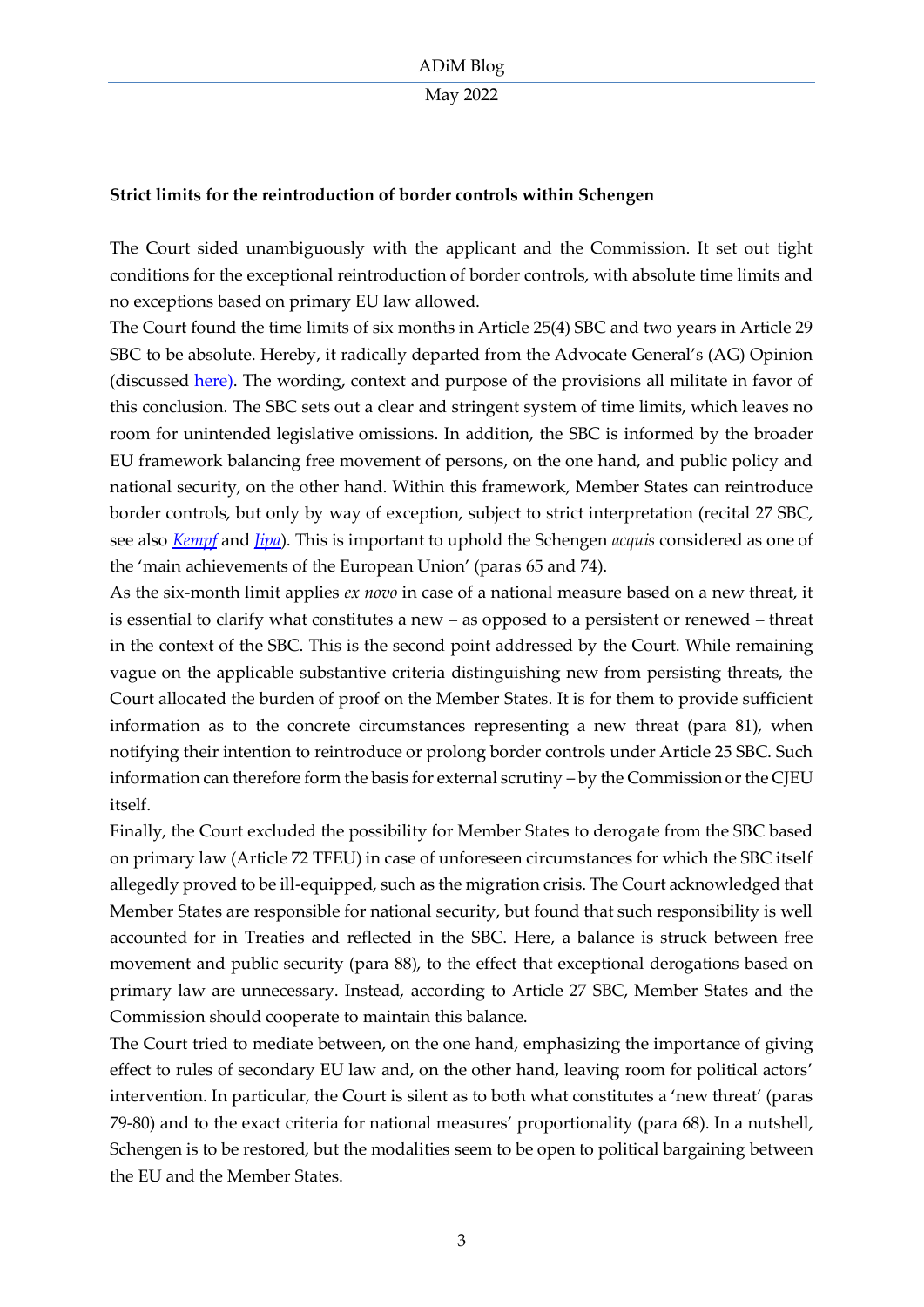## **Strict limits for the reintroduction of border controls within Schengen**

The Court sided unambiguously with the applicant and the Commission. It set out tight conditions for the exceptional reintroduction of border controls, with absolute time limits and no exceptions based on primary EU law allowed.

The Court found the time limits of six months in Article 25(4) SBC and two years in Article 29 SBC to be absolute. Hereby, it radically departed from the Advocate General's (AG) Opinion (discussed [here\).](https://verfassungsblog.de/the-writing-is-on-the-wall/) The wording, context and purpose of the provisions all militate in favor of this conclusion. The SBC sets out a clear and stringent system of time limits, which leaves no room for unintended legislative omissions. In addition, the SBC is informed by the broader EU framework balancing free movement of persons, on the one hand, and public policy and national security, on the other hand. Within this framework, Member States can reintroduce border controls, but only by way of exception, subject to strict interpretation (recital 27 SBC, see also *[Kempf](https://curia.europa.eu/juris/showPdf.jsf?text=&docid=93960&pageIndex=0&doclang=EN&mode=lst&dir=&occ=first&part=1&cid=3064848)* and *[Jipa](https://curia.europa.eu/juris/document/document.jsf?text=&docid=67583&pageIndex=0&doclang=EN&mode=lst&dir=&occ=first&part=1&cid=3065245)*). This is important to uphold the Schengen *acquis* considered as one of the 'main achievements of the European Union' (paras 65 and 74).

As the six-month limit applies *ex novo* in case of a national measure based on a new threat, it is essential to clarify what constitutes a new – as opposed to a persistent or renewed – threat in the context of the SBC. This is the second point addressed by the Court. While remaining vague on the applicable substantive criteria distinguishing new from persisting threats, the Court allocated the burden of proof on the Member States. It is for them to provide sufficient information as to the concrete circumstances representing a new threat (para 81), when notifying their intention to reintroduce or prolong border controls under Article 25 SBC. Such information can therefore form the basis for external scrutiny – by the Commission or the CJEU itself.

Finally, the Court excluded the possibility for Member States to derogate from the SBC based on primary law (Article 72 TFEU) in case of unforeseen circumstances for which the SBC itself allegedly proved to be ill-equipped, such as the migration crisis. The Court acknowledged that Member States are responsible for national security, but found that such responsibility is well accounted for in Treaties and reflected in the SBC. Here, a balance is struck between free movement and public security (para 88), to the effect that exceptional derogations based on primary law are unnecessary. Instead, according to Article 27 SBC, Member States and the Commission should cooperate to maintain this balance.

The Court tried to mediate between, on the one hand, emphasizing the importance of giving effect to rules of secondary EU law and, on the other hand, leaving room for political actors' intervention. In particular, the Court is silent as to both what constitutes a 'new threat' (paras 79-80) and to the exact criteria for national measures' proportionality (para 68). In a nutshell, Schengen is to be restored, but the modalities seem to be open to political bargaining between the EU and the Member States.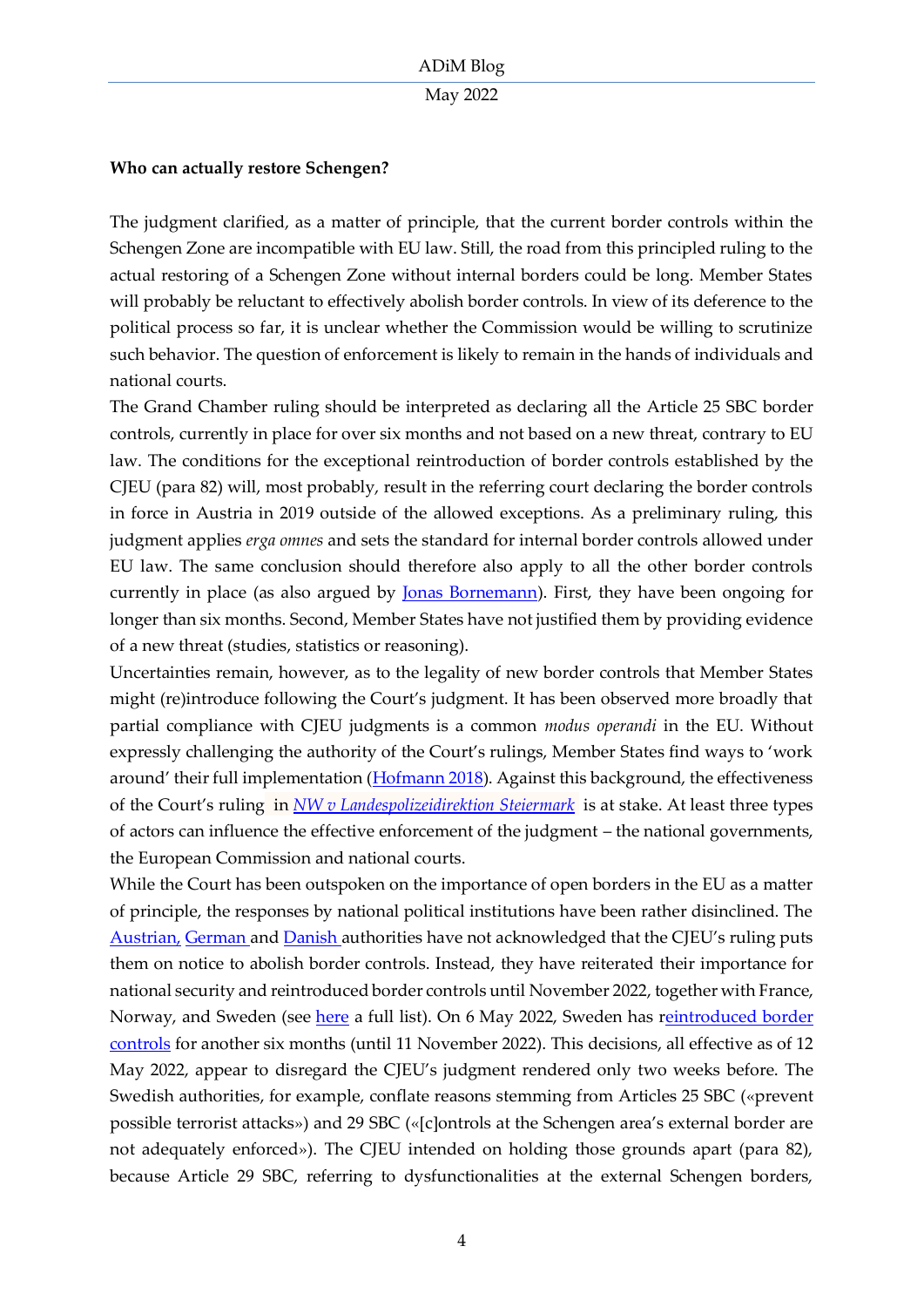## May 2022

# **Who can actually restore Schengen?**

The judgment clarified, as a matter of principle, that the current border controls within the Schengen Zone are incompatible with EU law. Still, the road from this principled ruling to the actual restoring of a Schengen Zone without internal borders could be long. Member States will probably be reluctant to effectively abolish border controls. In view of its deference to the political process so far, it is unclear whether the Commission would be willing to scrutinize such behavior. The question of enforcement is likely to remain in the hands of individuals and national courts.

The Grand Chamber ruling should be interpreted as declaring all the Article 25 SBC border controls, currently in place for over six months and not based on a new threat, contrary to EU law. The conditions for the exceptional reintroduction of border controls established by the CJEU (para 82) will, most probably, result in the referring court declaring the border controls in force in Austria in 2019 outside of the allowed exceptions. As a preliminary ruling, this judgment applies *erga omnes* and sets the standard for internal border controls allowed under EU law. The same conclusion should therefore also apply to all the other border controls currently in place (as also argued by <u>Jonas Bornemann</u>). First, they have been ongoing for longer than six months. Second, Member States have not justified them by providing evidence of a new threat (studies, statistics or reasoning).

Uncertainties remain, however, as to the legality of new border controls that Member States might (re)introduce following the Court's judgment. It has been observed more broadly that partial compliance with CJEU judgments is a common *modus operandi* in the EU. Without expressly challenging the authority of the Court's rulings, Member States find ways to 'work around' their full implementation ([Hofmann 2018\)](https://www.cambridge.org/core/journals/international-journal-of-law-in-context/article/abs/resistance-against-the-court-of-justice-of-the-european-union/2BF07E6E5ADB17CA55B454F0AF766E0F). Against this background, the effectiveness of the Court's ruling in *[NW v Landespolizeidirektion Steiermark](https://curia.europa.eu/juris/document/document.jsf?text=&docid=258262&pageIndex=0&doclang=EN&mode=lst&dir=&occ=first&part=1&cid=3120313)* is at stake. At least three types of actors can influence the effective enforcement of the judgment – the national governments, the European Commission and national courts.

While the Court has been outspoken on the importance of open borders in the EU as a matter of principle, the responses by national political institutions have been rather disinclined. The [Austrian,](https://kurier.at/politik/inland/eugh-oesterreichische-grenzkontrollen-wohl-nicht-rechtmaessig/401986223) [German a](https://www.sueddeutsche.de/bayern/eu-kiel-urteil-zu-wohl-rechtswidrigen-grenzkontrollen-mit-folgen-dpa.urn-newsml-dpa-com-20090101-220425-99-39926)n[d Danish](https://jyllands-posten.dk/international/europa/ECE13957154/eudomstolen-underkender-oestrigs-graensekontrol/) authorities have not acknowledged that the CJEU's ruling puts them on notice to abolish border controls. Instead, they have reiterated their importance for national security and reintroduced border controls until November 2022, together with France, Norway, and Sweden (see [here](https://ec.europa.eu/home-affairs/system/files/2022-05/Full%20list%20of%20notifications-03052022_en.pdf) a full list). On 6 May 2022, Sweden has [reintroduced border](https://www.government.se/press-releases/2022/05/reintroduced-temporary-internal-border-controls/)  [controls](https://www.government.se/press-releases/2022/05/reintroduced-temporary-internal-border-controls/) for another six months (until 11 November 2022). This decisions, all effective as of 12 May 2022, appear to disregard the CJEU's judgment rendered only two weeks before. The Swedish authorities, for example, conflate reasons stemming from Articles 25 SBC («prevent possible terrorist attacks») and 29 SBC («[c]ontrols at the Schengen area's external border are not adequately enforced»). The CJEU intended on holding those grounds apart (para 82), because Article 29 SBC, referring to dysfunctionalities at the external Schengen borders,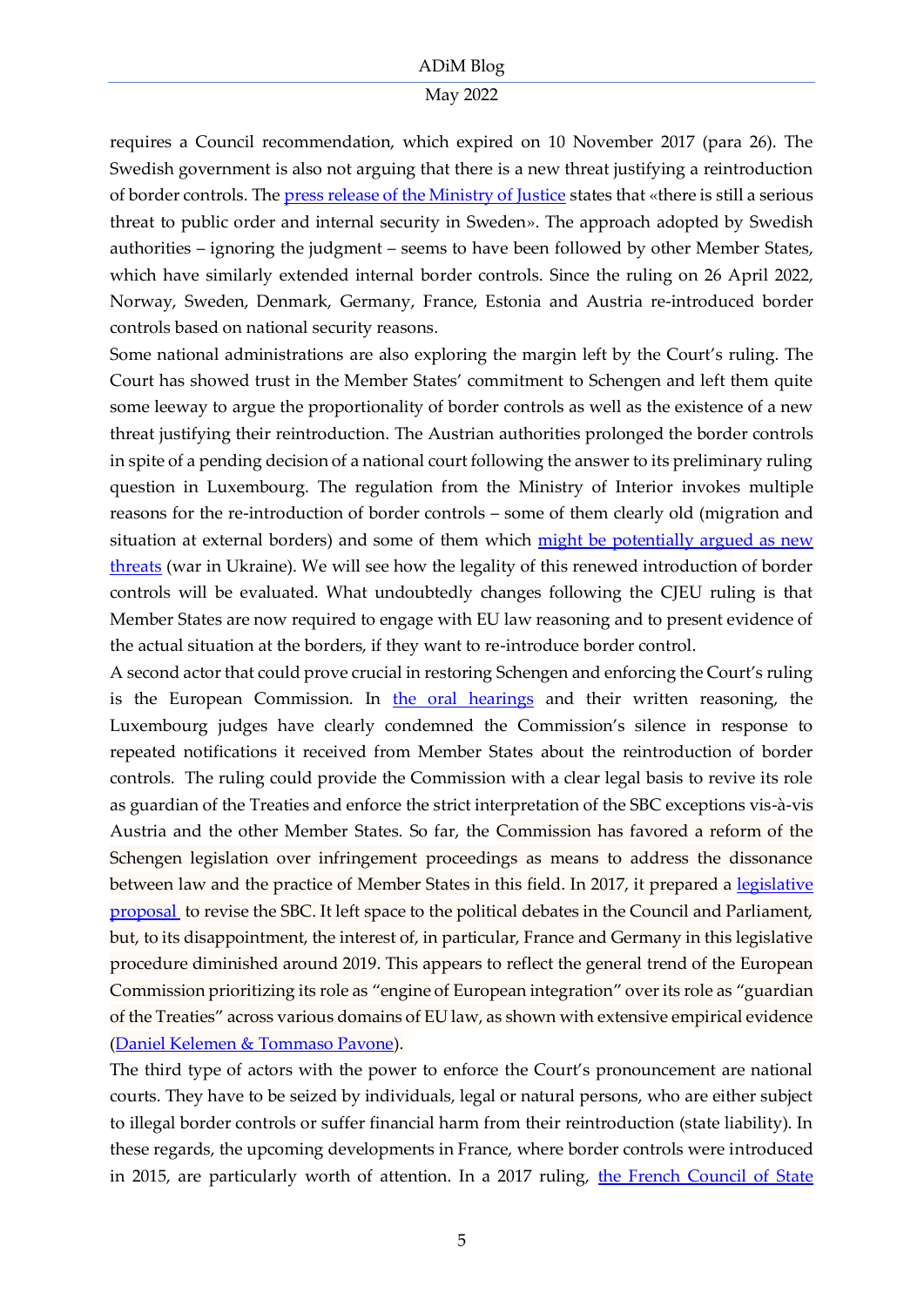#### May 2022

requires a Council recommendation, which expired on 10 November 2017 (para 26). The Swedish government is also not arguing that there is a new threat justifying a reintroduction of border controls. The [press release of the Ministry of Justice](https://www.government.se/press-releases/2022/05/reintroduced-temporary-internal-border-controls/) states that «there is still a serious threat to public order and internal security in Sweden». The approach adopted by Swedish authorities – ignoring the judgment – seems to have been followed by other Member States, which have similarly extended internal border controls. Since the ruling on 26 April 2022, Norway, Sweden, Denmark, Germany, France, Estonia and Austria re-introduced border controls based on national security reasons.

Some national administrations are also exploring the margin left by the Court's ruling. The Court has showed trust in the Member States' commitment to Schengen and left them quite some leeway to argue the proportionality of border controls as well as the existence of a new threat justifying their reintroduction. The Austrian authorities prolonged the border controls in spite of a pending decision of a national court following the answer to its preliminary ruling question in Luxembourg. The regulation from the Ministry of Interior invokes multiple reasons for the re-introduction of border controls – some of them clearly old (migration and situation at external borders) and some of them which [might be potentially argued as new](https://www.derstandard.at/story/2000135630651/oesterreich-verlaengert-grenzkontrollen-zu-ungarn-und-slowenien)  [threats](https://www.derstandard.at/story/2000135630651/oesterreich-verlaengert-grenzkontrollen-zu-ungarn-und-slowenien) (war in Ukraine). We will see how the legality of this renewed introduction of border controls will be evaluated. What undoubtedly changes following the CJEU ruling is that Member States are now required to engage with EU law reasoning and to present evidence of the actual situation at the borders, if they want to re-introduce border control.

A second actor that could prove crucial in restoring Schengen and enforcing the Court's ruling is the European Commission. In [the oral hearings](https://verfassungsblog.de/the-guardian-is-absent/) and their written reasoning, the Luxembourg judges have clearly condemned the Commission's silence in response to repeated notifications it received from Member States about the reintroduction of border controls. The ruling could provide the Commission with a clear legal basis to revive its role as guardian of the Treaties and enforce the strict interpretation of the SBC exceptions vis-à-vis Austria and the other Member States. So far, the Commission has favored a reform of the Schengen legislation over infringement proceedings as means to address the dissonance between law and the practice of Member States in this field. In 2017, it prepared a legislative [proposal](https://www.europarl.europa.eu/RegData/docs_autres_institutions/commission_europeenne/com/2017/0571/COM_COM(2017)0571_EN.pdf) to revise the SBC. It left space to the political debates in the Council and Parliament, but, to its disappointment, the interest of, in particular, France and Germany in this legislative procedure diminished around 2019. This appears to reflect the general trend of the European Commission prioritizing its role as "engine of European integration" over its role as "guardian of the Treaties" across various domains of EU law, as shown with extensive empirical evidence [\(Daniel Kelemen & Tommaso Pavone\)](https://preprints.apsanet.org/engage/apsa/article-details/61ca1ec002c214092c3443f4).

The third type of actors with the power to enforce the Court's pronouncement are national courts. They have to be seized by individuals, legal or natural persons, who are either subject to illegal border controls or suffer financial harm from their reintroduction (state liability). In these regards, the upcoming developments in France, where border controls were introduced in 2015, are particularly worth of attention. In a 2017 ruling, [the French Council of State](https://www.conseil-etat.fr/fr/arianeweb/CE/decision/2017-12-28/415291)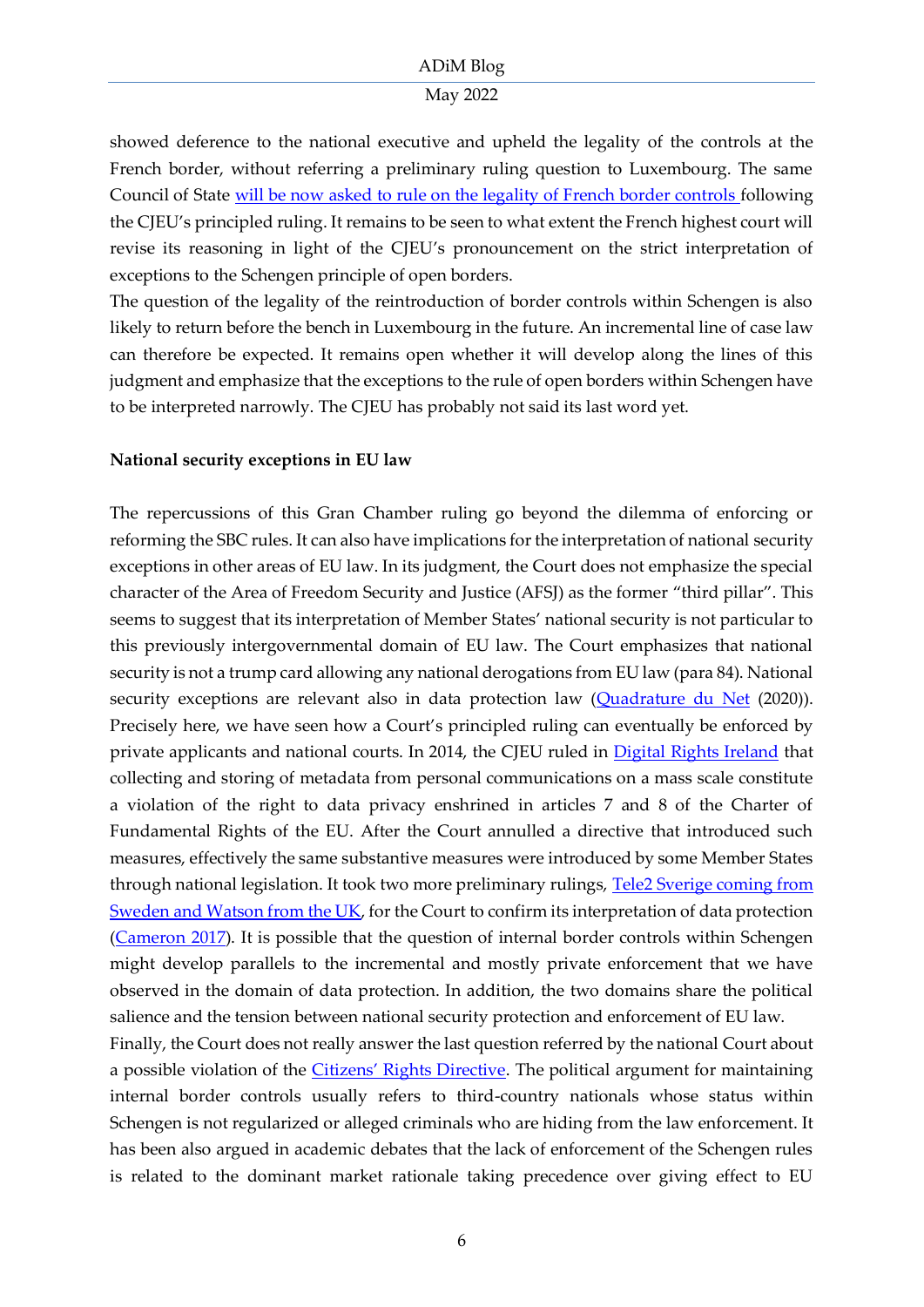### May 2022

showed deference to the national executive and upheld the legality of the controls at the French border, without referring a preliminary ruling question to Luxembourg. The same Council of State [will be now asked to rule on the legality of French border controls f](https://www.lemonde.fr/societe/article/2022/05/10/le-conseil-d-etat-saisi-du-controle-aux-frontieres-retabli-par-la-france-depuis-2015_6125410_3224.html)ollowing the CJEU's principled ruling. It remains to be seen to what extent the French highest court will revise its reasoning in light of the CJEU's pronouncement on the strict interpretation of exceptions to the Schengen principle of open borders.

The question of the legality of the reintroduction of border controls within Schengen is also likely to return before the bench in Luxembourg in the future. An incremental line of case law can therefore be expected. It remains open whether it will develop along the lines of this judgment and emphasize that the exceptions to the rule of open borders within Schengen have to be interpreted narrowly. The CJEU has probably not said its last word yet.

# **National security exceptions in EU law**

The repercussions of this Gran Chamber ruling go beyond the dilemma of enforcing or reforming the SBC rules. It can also have implications for the interpretation of national security exceptions in other areas of EU law. In its judgment, the Court does not emphasize the special character of the Area of Freedom Security and Justice (AFSJ) as the former "third pillar". This seems to suggest that its interpretation of Member States' national security is not particular to this previously intergovernmental domain of EU law. The Court emphasizes that national security is not a trump card allowing any national derogations from EU law (para 84). National security exceptions are relevant also in data protection law [\(Quadrature du Net](https://curia.europa.eu/juris/document/document.jsf?docid=232084&mode=lst&pageIndex=1&dir=&occ=first&part=1&text=&doclang=EN&cid=3119206) (2020)). Precisely here, we have seen how a Court's principled ruling can eventually be enforced by private applicants and national courts. In 2014, the CJEU ruled in [Digital Rights Ireland](https://eur-lex.europa.eu/legal-content/EN/TXT/?uri=CELEX%3A62012CJ0293) that collecting and storing of metadata from personal communications on a mass scale constitute a violation of the right to data privacy enshrined in articles 7 and 8 of the Charter of Fundamental Rights of the EU. After the Court annulled a directive that introduced such measures, effectively the same substantive measures were introduced by some Member States through national legislation. It took two more preliminary rulings, Tele2 Sverige coming from [Sweden and Watson from the UK,](https://eur-lex.europa.eu/legal-content/EN/TXT/?uri=CELEX%3A62015CJ0203&qid=1652190502710) for the Court to confirm its interpretation of data protection [\(Cameron 2017\)](https://heinonline.org/HOL/LandingPage?handle=hein.kluwer/cmlr0054&div=115&id=&page=). It is possible that the question of internal border controls within Schengen might develop parallels to the incremental and mostly private enforcement that we have observed in the domain of data protection. In addition, the two domains share the political salience and the tension between national security protection and enforcement of EU law.

Finally, the Court does not really answer the last question referred by the national Court about a possible violation of the *[Citizens' Rights Directive](https://eur-lex.europa.eu/legal-content/EN/TXT/?uri=celex:32004L0038)*. The political argument for maintaining internal border controls usually refers to third-country nationals whose status within Schengen is not regularized or alleged criminals who are hiding from the law enforcement. It has been also argued in academic debates that the lack of enforcement of the Schengen rules is related to the dominant market rationale taking precedence over giving effect to EU